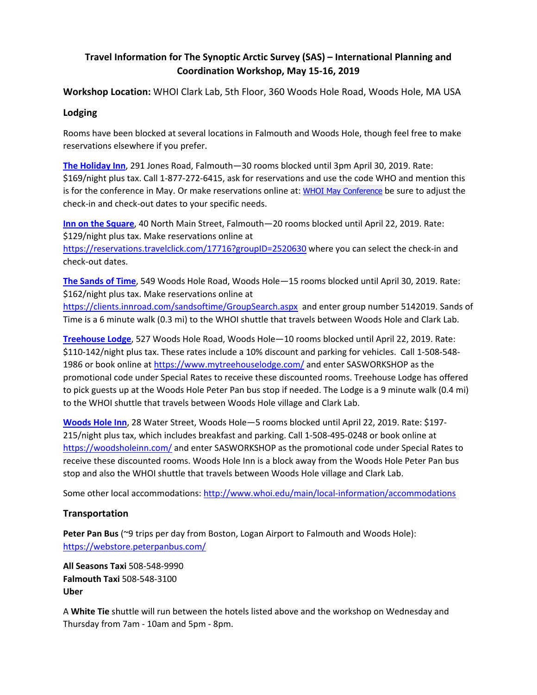## **Travel Information for The Synoptic Arctic Survey (SAS) – International Planning and Coordination Workshop, May 15-16, 2019**

**Workshop Location:** WHOI Clark Lab, 5th Floor, 360 Woods Hole Road, Woods Hole, MA USA

## **Lodging**

Rooms have been blocked at several locations in Falmouth and Woods Hole, though feel free to make reservations elsewhere if you prefer.

**The Holiday Inn**, 291 Jones Road, Falmouth—30 rooms blocked until 3pm April 30, 2019. Rate: \$169/night plus tax. Call 1-877-272-6415, ask for reservations and use the code WHO and mention this is for the conference in May. Or make reservations online at: WHOI May Conference be sure to adjust the check-in and check-out dates to your specific needs.

**Inn on the Square**, 40 North Main Street, Falmouth—20 rooms blocked until April 22, 2019. Rate: \$129/night plus tax. Make reservations online at

https://reservations.travelclick.com/17716?groupID=2520630 where you can select the check-in and check-out dates.

**The Sands of Time**, 549 Woods Hole Road, Woods Hole—15 rooms blocked until April 30, 2019. Rate: \$162/night plus tax. Make reservations online at

https://clients.innroad.com/sandsoftime/GroupSearch.aspx and enter group number 5142019. Sands of Time is a 6 minute walk (0.3 mi) to the WHOI shuttle that travels between Woods Hole and Clark Lab.

**Treehouse Lodge**, 527 Woods Hole Road, Woods Hole—10 rooms blocked until April 22, 2019. Rate: \$110-142/night plus tax. These rates include a 10% discount and parking for vehicles. Call 1-508-548- 1986 or book online at https://www.mytreehouselodge.com/ and enter SASWORKSHOP as the promotional code under Special Rates to receive these discounted rooms. Treehouse Lodge has offered to pick guests up at the Woods Hole Peter Pan bus stop if needed. The Lodge is a 9 minute walk (0.4 mi) to the WHOI shuttle that travels between Woods Hole village and Clark Lab.

**Woods Hole Inn**, 28 Water Street, Woods Hole—5 rooms blocked until April 22, 2019. Rate: \$197- 215/night plus tax, which includes breakfast and parking. Call 1-508-495-0248 or book online at https://woodsholeinn.com/ and enter SASWORKSHOP as the promotional code under Special Rates to receive these discounted rooms. Woods Hole Inn is a block away from the Woods Hole Peter Pan bus stop and also the WHOI shuttle that travels between Woods Hole village and Clark Lab.

Some other local accommodations: http://www.whoi.edu/main/local-information/accommodations

## **Transportation**

**Peter Pan Bus** (~9 trips per day from Boston, Logan Airport to Falmouth and Woods Hole): https://webstore.peterpanbus.com/

**All Seasons Taxi** 508-548-9990 **Falmouth Taxi** 508-548-3100 **Uber** 

A **White Tie** shuttle will run between the hotels listed above and the workshop on Wednesday and Thursday from 7am - 10am and 5pm - 8pm.